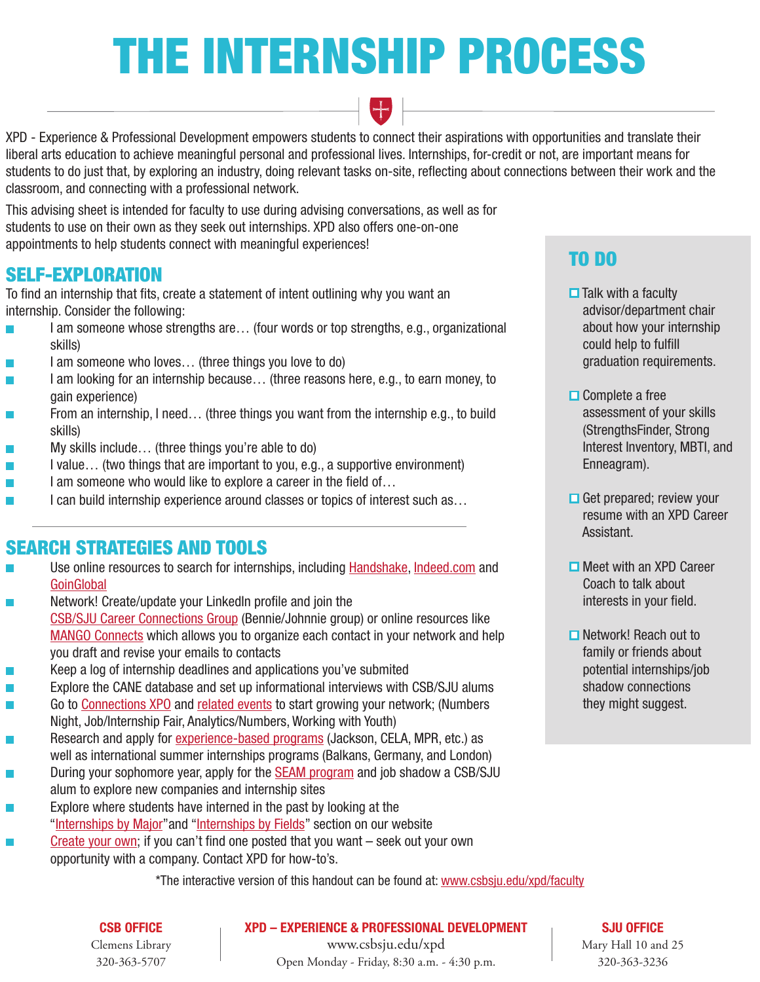# THE INTERNSHIP PROCESS



XPD - Experience & Professional Development empowers students to connect their aspirations with opportunities and translate their liberal arts education to achieve meaningful personal and professional lives. Internships, for-credit or not, are important means for students to do just that, by exploring an industry, doing relevant tasks on-site, reflecting about connections between their work and the classroom, and connecting with a professional network.

This advising sheet is intended for faculty to use during advising conversations, as well as for students to use on their own as they seek out internships. XPD also offers one-on-one appointments to help students connect with meaningful experiences!

# SELF-EXPLORATION

To find an internship that fits, create a statement of intent outlining why you want an internship. Consider the following:

- I am someone whose strengths are… (four words or top strengths, e.g., organizational skills)
- I am someone who loves… (three things you love to do)
- I am looking for an internship because... (three reasons here, e.g., to earn money, to gain experience)
- From an internship, I need… (three things you want from the internship e.g., to build skills)
- My skills include… (three things you're able to do)  $\mathbb{R}^n$
- I value… (two things that are important to you, e.g., a supportive environment)  $\Box$
- $\mathcal{L}_{\mathcal{A}}$ I am someone who would like to explore a career in the field of...
- I can build internship experience around classes or topics of interest such as...  $\overline{\phantom{a}}$

# SEARCH STRATEGIES AND TOOLS

- Use online resources to search for internships, including [Handshake,](https://csbsju.joinhandshake.com/login) [Indeed.com](https://www.indeed.com/) and **[GoinGlobal](https://sharepoint.csbsju.edu/careerservices/Pages/default.aspx)**
- Network! Create/update your LinkedIn profile and join the **The Second**  [CSB/SJU Career Connections Group](https://www.linkedin.com/m/login/) (Bennie/Johnnie group) or online resources like [MANGO Connects](https://app.mangoconnects.com/users/sign-in) which allows you to organize each contact in your network and help you draft and revise your emails to contacts
- Keep a log of internship deadlines and applications you've submited  $\mathbb{R}^n$
- Explore the CANE database and set up informational interviews with CSB/SJU alums
- Go to [Connections XPO](https://www.csbsju.edu/connections-xpo) and [related events](https://www.csbsju.edu/xpd/students/internships-and-jobs/xpd-programming) to start growing your network; (Numbers  $\overline{\phantom{a}}$ Night, Job/Internship Fair, Analytics/Numbers, Working with Youth)
- Research and apply for [experience-based programs](https://www.csbsju.edu/xpd/students/experience-based-programs-x52746) (Jackson, CELA, MPR, etc.) as well as international summer internships programs (Balkans, Germany, and London)
- During your sophomore year, apply for the [SEAM program](https://www.csbsju.edu/xpd/students/experience-based-programs/student-exploration-through-alum-mentorship) and job shadow a CSB/SJU  $\mathcal{L}_{\mathcal{A}}$ alum to explore new companies and internship sites
- Explore where students have interned in the past by looking at the "[Internships by Major](https://www.csbsju.edu/xpd/students/experience-based-programs/internship-program/students/searching-for-an-internship/internship-sites-by-major)" and "[Internships by Fields"](https://www.csbsju.edu/xpd/students/experience-based-programs/internship-program/students/searching-for-an-internship/internship-sites-by-industry) section on our website
- [Create your own](https://www.csbsju.edu/xpd/students/experience-based-programs/internship-program/students/registering-for-internship-credit); if you can't find one posted that you want seek out your own  $\mathbb{R}^n$ opportunity with a company. Contact XPD for how-to's.

# TO DO

- $\Box$  Talk with a faculty advisor/department chair about how your internship could help to fulfill graduation requirements.
- $\Box$  Complete a free assessment of your skills (StrengthsFinder, Strong Interest Inventory, MBTI, and Enneagram).
- $\Box$  Get prepared; review your resume with an XPD Career Assistant.
- $\Box$  Meet with an XPD Career Coach to talk about interests in your field.
- **□** Network! Reach out to family or friends about potential internships/job shadow connections they might suggest.

\*The interactive version of this handout can be found at: [www.csbsju.edu/xpd/faculty](http://www.csbsju.edu/xpd/faculty)

#### CSB OFFICE

Clemens Library 320-363-5707

XPD – EXPERIENCE & PROFESSIONAL DEVELOPMENT

SJU OFFICE

www.csbsju.edu/xpd Open Monday - Friday, 8:30 a.m. - 4:30 p.m.

Mary Hall 10 and 25 320-363-3236